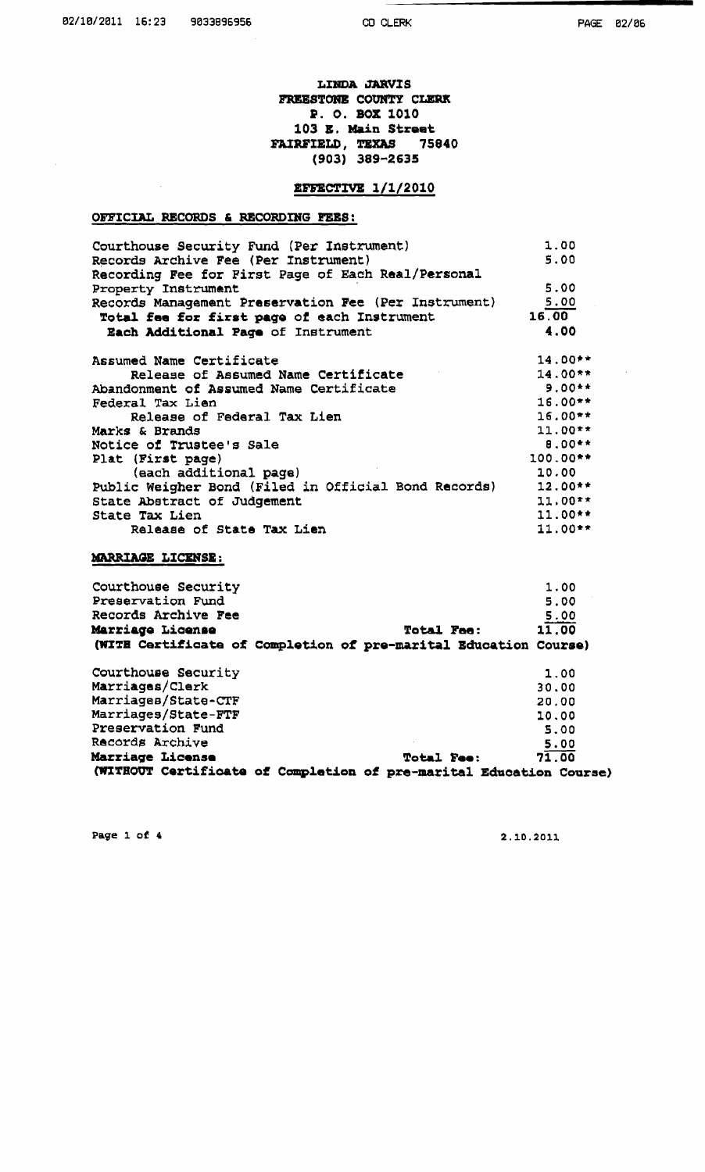## LINDA JARVIS FREESTONE COUNTY CLERK P. O. BOX 1010 103 E. Main Street **FAIRFIELD, TEXAS 75840**  $(903) 389 - 2635$

# **EFFECTIVE 1/1/2010**

## OFFICIAL RECORDS & RECORDING FEES:

 $\frac{1}{2}$ 

 $\mathcal{A}$ 

| Courthouse Security Fund (Per Instrument)<br>Records Archive Fee (Per Instrument) | 1.00<br>5.00 |
|-----------------------------------------------------------------------------------|--------------|
| Recording Fee for First Page of Each Real/Personal                                |              |
| Property Instrument                                                               | 5.00         |
| Records Management Preservation Fee (Per Instrument)                              | 5.00         |
| Total fee for first page of each Instrument                                       | 16.00        |
| Each Additional Page of Instrument                                                | 4.00         |
| Assumed Name Certificate                                                          | $14.00**$    |
| Release of Assumed Name Certificate                                               | $14.00**$    |
| Abandonment of Assumed Name Certificate                                           | $9.00**$     |
| Federal Tax Lien                                                                  | $16.00**$    |
| Release of Federal Tax Lien                                                       | $16.00**$    |
| Marks & Brands                                                                    | $11.00**$    |
| Notice of Trustee's Sale                                                          | $8.00**$     |
| Plat (First page)                                                                 | 100.00**     |
| (each additional page)                                                            | 10.00        |
| Public Weigher Bond (Filed in Official Bond Records) 12.00**                      |              |
| State Abstract of Judgement                                                       | $11.00**$    |
| State Tax Lien                                                                    | $11.00**$    |
| Release of State Tax Lien                                                         | $11.00**$    |

## MARRIAGE LICENSE:

| Courthouse Security<br>Preservation Fund                                                       |                   | 1.00<br>5.00  |
|------------------------------------------------------------------------------------------------|-------------------|---------------|
| Records Archive Fee<br><b>Marriage License</b>                                                 | <b>Total Fee:</b> | 5.00<br>11.00 |
| (WITE Certificate of Completion of pre-marital Education Course)                               |                   |               |
| Courthouse Security                                                                            |                   | 1.00          |
| Marriages/Clerk                                                                                |                   | 30.00         |
| Marriages/State-CTF                                                                            |                   | 20.00         |
| Marriages/State-FTF                                                                            |                   | 10.00         |
| Preservation Fund                                                                              |                   | 5.00          |
| Records Archive                                                                                |                   | 5.00          |
| <b>Marriage License</b><br>(WITHOUT Certificate of Completion of pre-marital Education Course) | <b>Total Fee:</b> | 71.00         |

Page 1 of 4

2.10.2011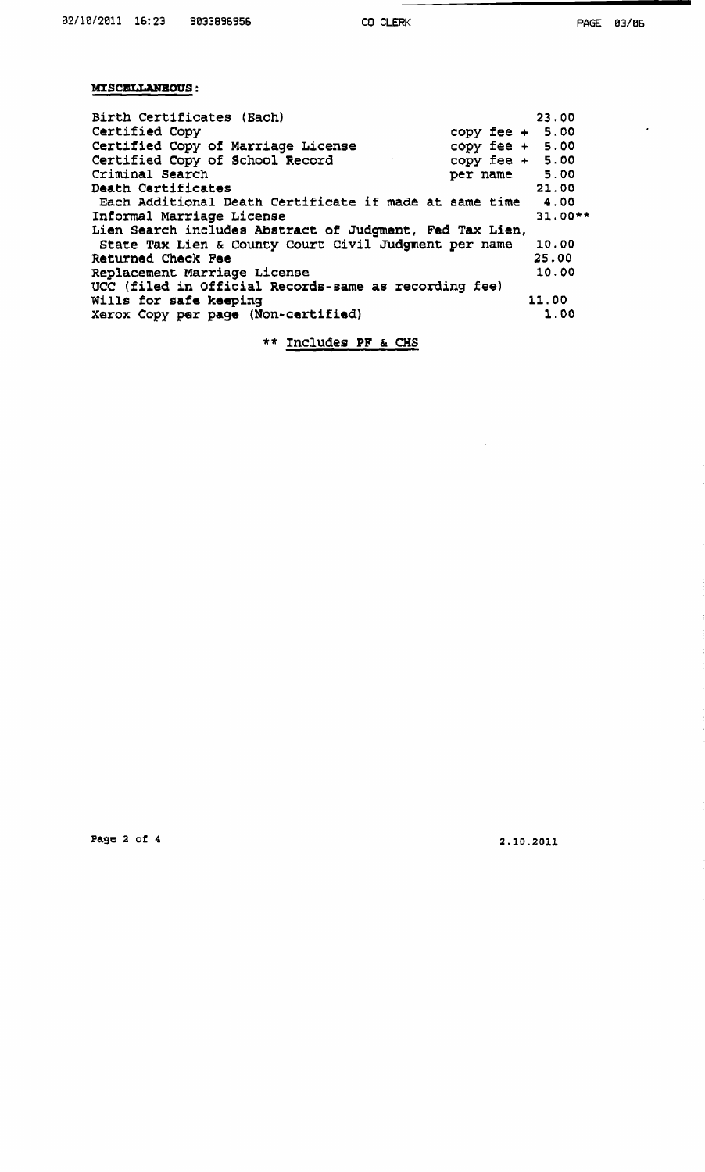$\hat{\boldsymbol{\beta}}$ 

# MISCELLANEOUS:

| Birth Certificates (Each)                                | 23.00             |
|----------------------------------------------------------|-------------------|
| Certified Copy                                           | copy fee $+$ 5.00 |
| Certified Copy of Marriage License                       | copy fee $+ 5.00$ |
| Certified Copy of School Record                          | copy fee $+$ 5.00 |
| Criminal Search                                          | per name 5.00     |
| Death Certificates                                       | 21.00             |
| Each Additional Death Certificate if made at same time   | 4.00              |
| Informal Marriage License                                | $31.00**$         |
| Lien Search includes Abstract of Judgment, Fed Tax Lien, |                   |
| State Tax Lien & County Court Civil Judgment per name    | 10.00             |
| Returned Check Fee                                       | 25.00             |
| Replacement Marriage License                             | 10.00             |
| UCC (filed in Official Records-same as recording fee)    |                   |
| Wills for safe keeping                                   | 11.00             |
| Xerox Copy per page (Non-certified)                      | 1.00              |

\*\* **Inchudes PF** & **CHS** 

Page 2 of 4

 $2.10.2011$ 

 $\hat{\mathcal{A}}$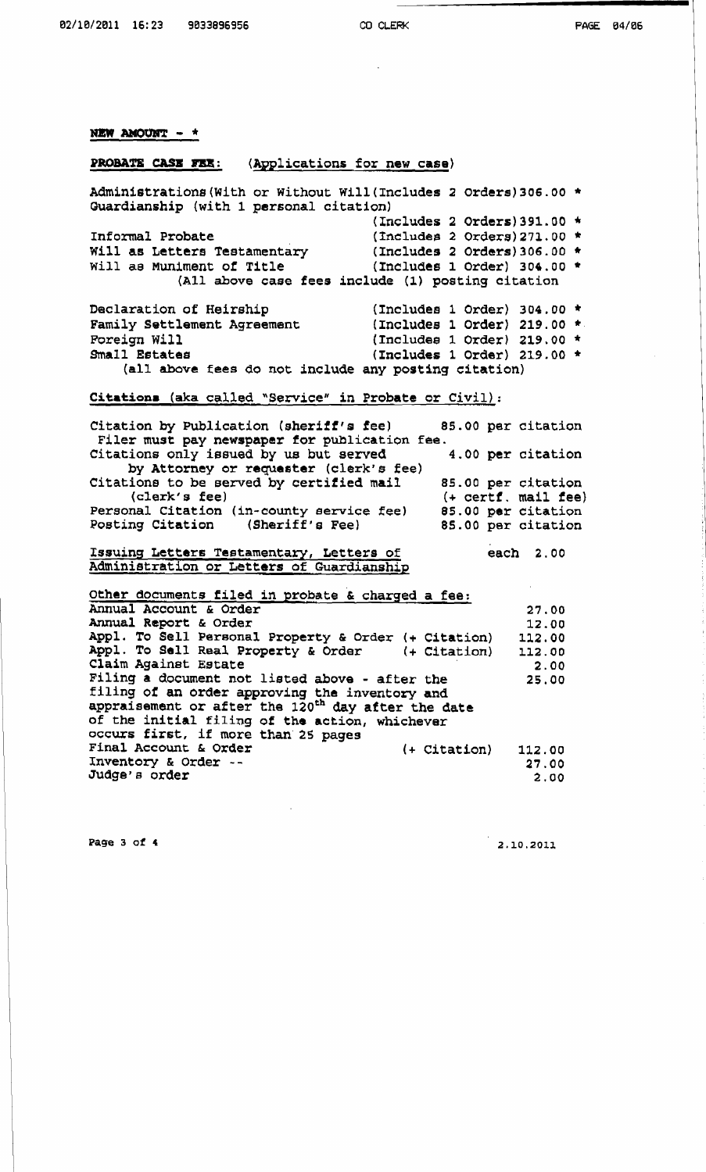I

#### NEW AMOUNT - \*

#### **PROBATE CASZ FES: (Applications for new case)**

**Administratione(With or Without wlll(rnc1udes 2 orders)306.00** \* **Guardianship (with 1 personal citation) (Includes 2 Ordcrs)391.00** \* **Informal Probate** (Includes **2 Orders) 271.00** \* **Will as Letters** Testamentary **(Includes 2 Orders)306.00** \* **will ae Muniment of Title (Includes 1 Order) 304.00** \* **(All above case fees include (1) posting citation Declaration of Heirship (Includes 1 Order) 304.00** \* Family Settlement Agreement Foreign Will **Foreign Will (Includes 1 Order)** 219.00 \*<br>Small Estates (Includes 1 Order) 219.00 \* **Small Estatas (Includes 1 Order) 219.00**  (all **above fees do not include any posting citation) Citation. (aka called "Service"** in **Probate or Civil):**  Citation by Publication (sheriff's fee) 85.00 per citation Filer must pay newspaper for publication fee.<br>**Example 1998** in the publication fee.<br>**4.00 per citation** Citations only issued by us but served **by Attorney or requester (clerk's fee)**  Citations to be served by certified mail 85.00 per citation (clerk's fee)  $($  + certf, mail fee) **(clerk's fee)** (+ **certf. mail fee) Personal Citation (in-county service fee)** <br>**Posting Citation (Sheriff's Fee) Posting Citation (Sheriff's Fee) 85.00 per citation** 

### **Issuing Letters Teetamentaxy, Letters of**  Administration **or Letters** of **Guardianship**

**Other documents filed in probate** & **charged a fee: Annual Account** & **Order**  27.00 **Annual Report** & **Order**  12.00 **Appl. To Sell Personal Property** & **Order** (+ **Citation)**  112.00 **Appl. To Sell Real Property** & **Order** (+ **Citation)**  112.00 **Claim Against Estate**  2.00 **Filing a document not listed above** - **after the**  25.00 **filing of an order approving the inventory and appraisement or after the 120th day after** the **date of** the **initial filing of the action, whichever**  occurs first, if more than 25 pages **Final Account h** Order (+ **Citation)** 112.00 **Inventory** & **Order** -- 27.00 Judge's order 2.00

**Page 3 of 4** 

 $2.10.2011$ 

**each 2.00**